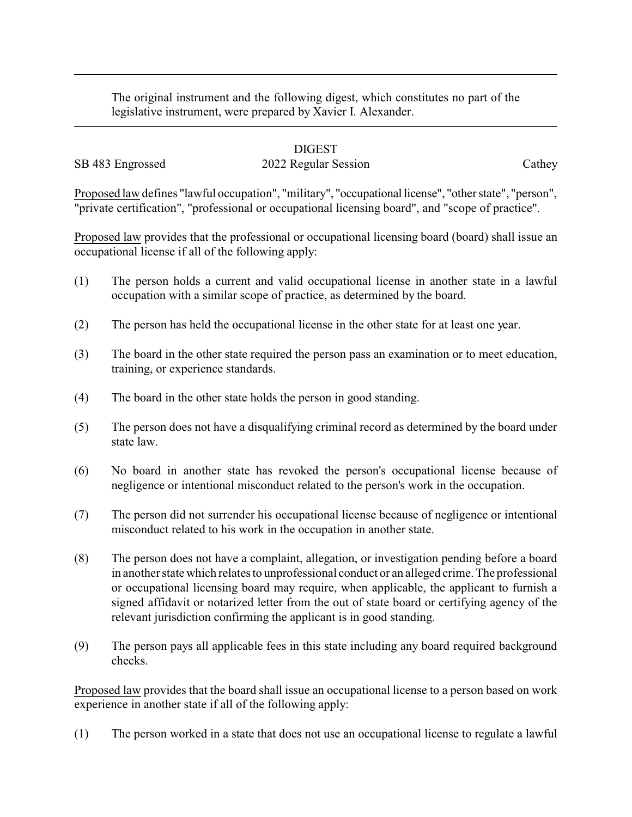The original instrument and the following digest, which constitutes no part of the legislative instrument, were prepared by Xavier I. Alexander.

## DIGEST

# SB 483 Engrossed 2022 Regular Session Cathey

Proposed law defines "lawful occupation", "military", "occupational license", "other state", "person", "private certification", "professional or occupational licensing board", and "scope of practice".

Proposed law provides that the professional or occupational licensing board (board) shall issue an occupational license if all of the following apply:

- (1) The person holds a current and valid occupational license in another state in a lawful occupation with a similar scope of practice, as determined by the board.
- (2) The person has held the occupational license in the other state for at least one year.
- (3) The board in the other state required the person pass an examination or to meet education, training, or experience standards.
- (4) The board in the other state holds the person in good standing.
- (5) The person does not have a disqualifying criminal record as determined by the board under state law.
- (6) No board in another state has revoked the person's occupational license because of negligence or intentional misconduct related to the person's work in the occupation.
- (7) The person did not surrender his occupational license because of negligence or intentional misconduct related to his work in the occupation in another state.
- (8) The person does not have a complaint, allegation, or investigation pending before a board in another state which relates to unprofessional conduct or an alleged crime. The professional or occupational licensing board may require, when applicable, the applicant to furnish a signed affidavit or notarized letter from the out of state board or certifying agency of the relevant jurisdiction confirming the applicant is in good standing.
- (9) The person pays all applicable fees in this state including any board required background checks.

Proposed law provides that the board shall issue an occupational license to a person based on work experience in another state if all of the following apply:

(1) The person worked in a state that does not use an occupational license to regulate a lawful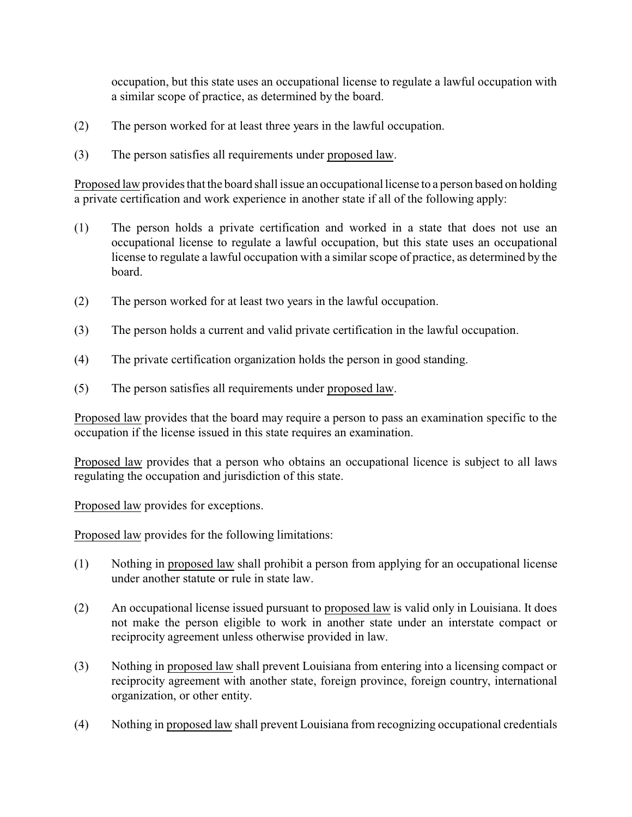occupation, but this state uses an occupational license to regulate a lawful occupation with a similar scope of practice, as determined by the board.

- (2) The person worked for at least three years in the lawful occupation.
- (3) The person satisfies all requirements under proposed law.

Proposed law provides that the board shall issue an occupational license to a person based on holding a private certification and work experience in another state if all of the following apply:

- (1) The person holds a private certification and worked in a state that does not use an occupational license to regulate a lawful occupation, but this state uses an occupational license to regulate a lawful occupation with a similar scope of practice, as determined by the board.
- (2) The person worked for at least two years in the lawful occupation.
- (3) The person holds a current and valid private certification in the lawful occupation.
- (4) The private certification organization holds the person in good standing.
- (5) The person satisfies all requirements under proposed law.

Proposed law provides that the board may require a person to pass an examination specific to the occupation if the license issued in this state requires an examination.

Proposed law provides that a person who obtains an occupational licence is subject to all laws regulating the occupation and jurisdiction of this state.

Proposed law provides for exceptions.

Proposed law provides for the following limitations:

- (1) Nothing in proposed law shall prohibit a person from applying for an occupational license under another statute or rule in state law.
- (2) An occupational license issued pursuant to proposed law is valid only in Louisiana. It does not make the person eligible to work in another state under an interstate compact or reciprocity agreement unless otherwise provided in law.
- (3) Nothing in proposed law shall prevent Louisiana from entering into a licensing compact or reciprocity agreement with another state, foreign province, foreign country, international organization, or other entity.
- (4) Nothing in proposed law shall prevent Louisiana from recognizing occupational credentials